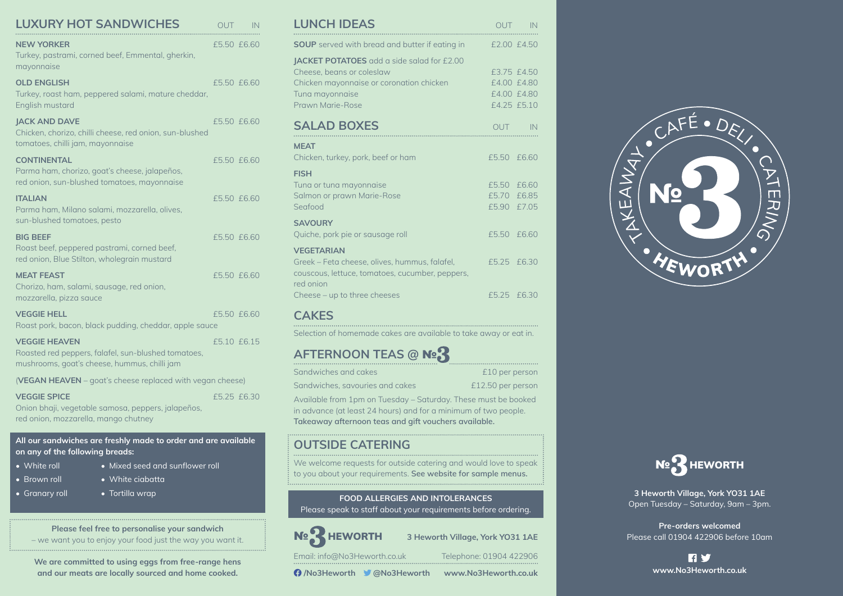| <b>LUXURY HOT SANDWICHES</b>                                                                                                | <b>OUT</b>  | <b>IN</b> |
|-----------------------------------------------------------------------------------------------------------------------------|-------------|-----------|
| <b>NEW YORKER</b><br>Turkey, pastrami, corned beef, Emmental, gherkin,<br>mayonnaise                                        | £5.50 £6.60 |           |
| <b>OLD ENGLISH</b><br>Turkey, roast ham, peppered salami, mature cheddar,<br>English mustard                                | £5.50 £6.60 |           |
| <b>JACK AND DAVE</b><br>Chicken, chorizo, chilli cheese, red onion, sun-blushed<br>tomatoes, chilli jam, mayonnaise         | £5.50 £6.60 |           |
| <b>CONTINENTAL</b><br>Parma ham, chorizo, goat's cheese, jalapeños,<br>red onion, sun-blushed tomatoes, mayonnaise          | £5.50 £6.60 |           |
| <b>ITALIAN</b><br>Parma ham, Milano salami, mozzarella, olives,<br>sun-blushed tomatoes, pesto                              | £5.50 £6.60 |           |
| <b>BIG BEEF</b><br>Roast beef, peppered pastrami, corned beef,<br>red onion, Blue Stilton, wholegrain mustard               | £5.50 £6.60 |           |
| <b>MEAT FEAST</b><br>Chorizo, ham, salami, sausage, red onion,<br>mozzarella, pizza sauce                                   | £5.50 £6.60 |           |
| <b>VEGGIE HELL</b><br>Roast pork, bacon, black pudding, cheddar, apple sauce                                                | £5.50 £6.60 |           |
| <b>VEGGIE HEAVEN</b><br>Roasted red peppers, falafel, sun-blushed tomatoes,<br>mushrooms, goat's cheese, hummus, chilli jam | £510 £615   |           |
| (VEGAN HEAVEN - goat's cheese replaced with vegan cheese)                                                                   |             |           |

**VEGGIE SPICE**

£5.25 £6.30

• Mixed seed and sunflower roll

Onion bhaji, vegetable samosa, peppers, jalapeños, red onion, mozzarella, mango chutney

**All our sandwiches are freshly made to order and are available on any of the following breads:**

• Tortilla wrap

- White roll
- Brown roll • White ciabatta
- Granary roll

**Please feel free to personalise your sandwich** – we want you to enjoy your food just the way you want it.

**We are committed to using eggs from free-range hens and our meats are locally sourced and home cooked.**

| <b>LUNCH IDEAS</b>                                                                                                                                         |                                           | OUT IN                                                   |
|------------------------------------------------------------------------------------------------------------------------------------------------------------|-------------------------------------------|----------------------------------------------------------|
| <b>SOUP</b> served with bread and butter if eating in                                                                                                      | £2.00 £4.50                               |                                                          |
| JACKET POTATOES add a side salad for £2.00<br>Cheese, beans or coleslaw<br>Chicken mayonnaise or coronation chicken<br>Tuna mayonnaise<br>Prawn Marie-Rose |                                           | £3.75 £4.50<br>£4.00 £4.80<br>£4.00 £4.80<br>£4.25 £5.10 |
| <b>SALAD BOXES</b>                                                                                                                                         |                                           | OUT IN                                                   |
| <b>MEAT</b><br>Chicken, turkey, pork, beef or ham                                                                                                          | £5.50 £6.60                               |                                                          |
| <b>FISH</b><br>Tuna or tuna mayonnaise<br>Salmon or prawn Marie-Rose<br>Seafood                                                                            | £5.50 £6.60<br>£5.70 £6.85<br>£5.90 £7.05 |                                                          |
| <b>SAVOURY</b><br>Quiche, pork pie or sausage roll                                                                                                         | £5.50 £6.60                               |                                                          |
| <b>VEGETARIAN</b><br>Greek – Feta cheese, olives, hummus, falafel,<br>couscous, lettuce, tomatoes, cucumber, peppers,                                      | £5.25 £6.30                               |                                                          |
| red onion<br>Cheese - up to three cheeses                                                                                                                  | £5.25 £6.30                               |                                                          |

## **CAKES**

Selection of homemade cakes are available to take away or eat in.

## **AFTERNOON TEAS @** №

| Sandwiches and cakes                                            | £10 per person    |
|-----------------------------------------------------------------|-------------------|
| Sandwiches, savouries and cakes                                 | £12.50 per person |
| Available from 1pm on Tuesday – Saturday. These must be booked  |                   |
| in advance (at least 24 hours) and for a minimum of two people. |                   |

in advance (at least 24 hours) and for a minimum of two people. **Takeaway afternoon teas and gift vouchers available.**

## **OUTSIDE CATERING**

We welcome requests for outside catering and would love to speak to you about your requirements. **See website for sample menus.**

**FOOD ALLERGIES AND INTOLERANCES**

Please speak to staff about your requirements before ordering.

№ HEWORTH **3 Heworth Village, York YO31 1AE**

Email: info@No3Heworth.co.uk Telephone: 01904 422906

**Q** /No3Heworth **V** @No3Heworth www.No3Heworth.co.uk





**3 Heworth Village, York YO31 1AE** Open Tuesday – Saturday, 9am – 3pm.

**Pre-orders welcomed** Please call 01904 422906 before 10am

> **RY www.No3Heworth.co.uk**